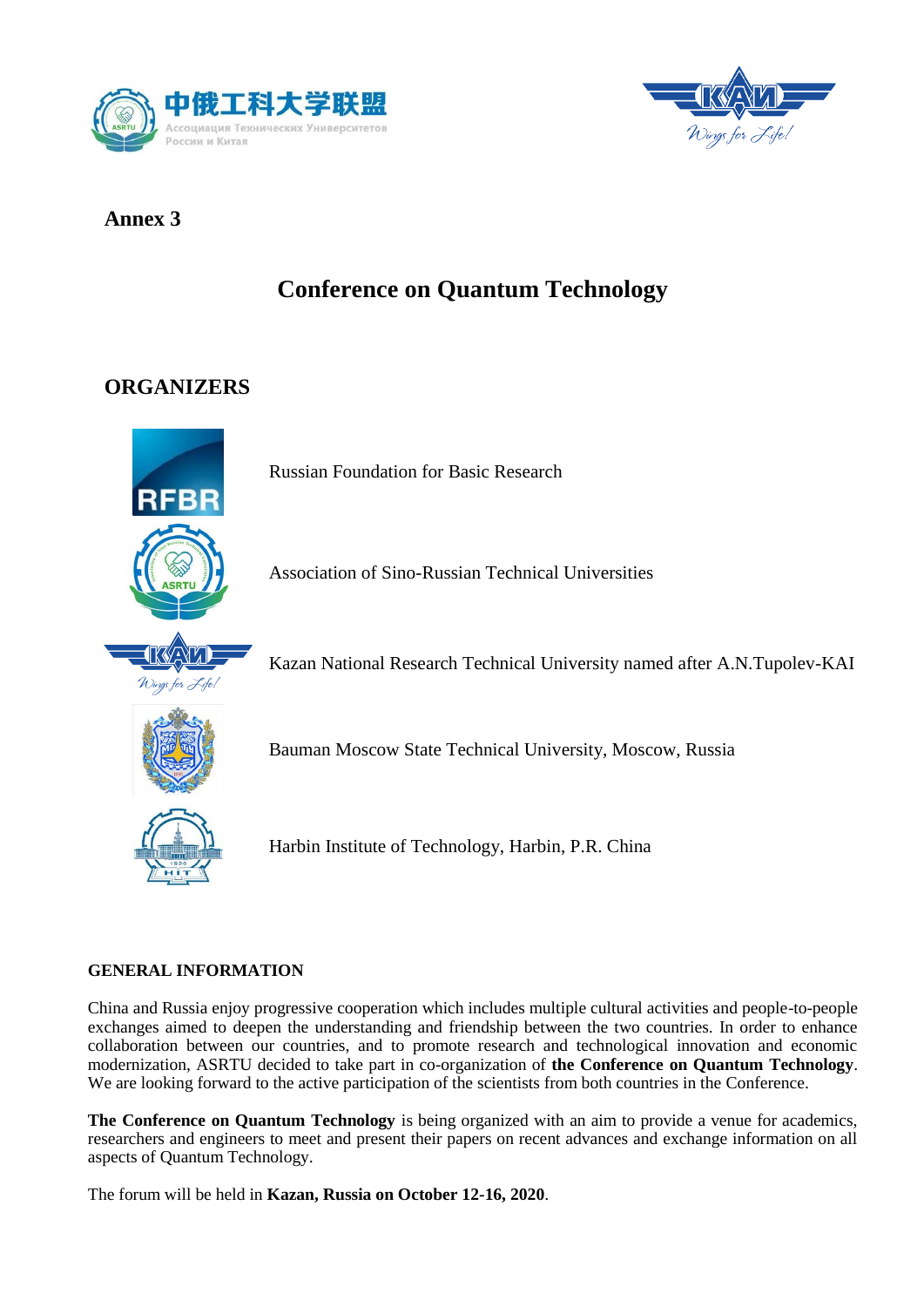



## **Annex 3**

# **Conference on Quantum Technology**

## **ORGANIZERS**



Russian Foundation for Basic Research

Association of Sino-Russian Technical Universities

Kazan National Research Technical University named after A.N.Tupolev-KAI

Bauman Moscow State Technical University, Moscow, Russia



Harbin Institute of Technology, Harbin, P.R. China

### **GENERAL INFORMATION**

China and Russia enjoy progressive cooperation which includes multiple cultural activities and people-to-people exchanges aimed to deepen the understanding and friendship between the two countries. In order to enhance collaboration between our countries, and to promote research and technological innovation and economic modernization, ASRTU decided to take part in co-organization of **the Conference on Quantum Technology**. We are looking forward to the active participation of the scientists from both countries in the Conference.

**The Conference on Quantum Technology** is being organized with an aim to provide a venue for academics, researchers and engineers to meet and present their papers on recent advances and exchange information on all aspects of Quantum Technology.

The forum will be held in **Kazan, Russia on October 12-16, 2020**.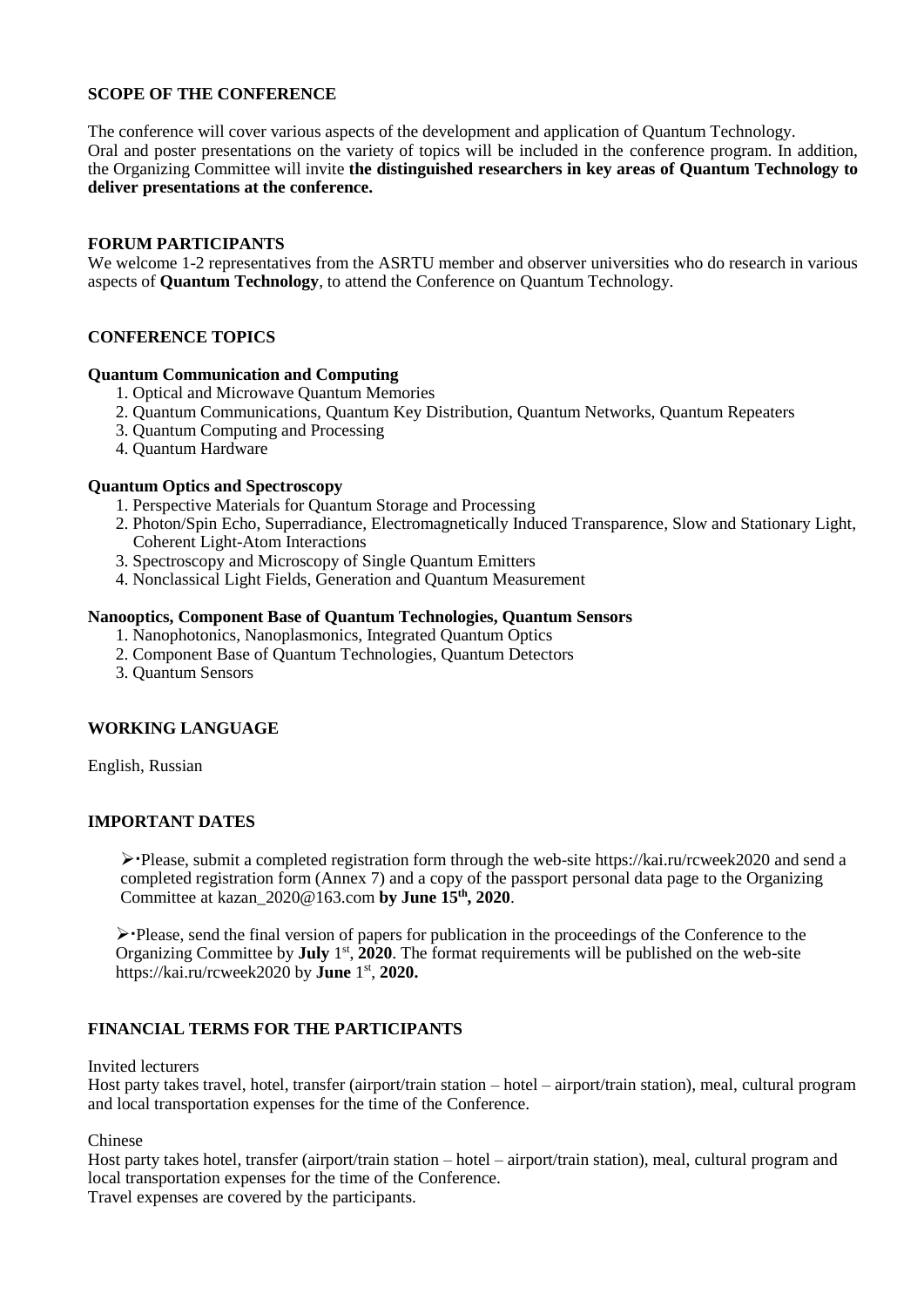#### **SCOPE OF THE CONFERENCE**

The conference will cover various aspects of the development and application of Quantum Technology. Oral and poster presentations on the variety of topics will be included in the conference program. In addition, the Organizing Committee will invite **the distinguished researchers in key areas of Quantum Technology to deliver presentations at the conference.**

#### **FORUM PARTICIPANTS**

We welcome 1-2 representatives from the ASRTU member and observer universities who do research in various aspects of **Quantum Technology**, to attend the Conference on Quantum Technology.

#### **CONFERENCE TOPICS**

#### **Quantum Communication and Computing**

- 1. Optical and Microwave Quantum Memories
- 2. Quantum Communications, Quantum Key Distribution, Quantum Networks, Quantum Repeaters
- 3. Quantum Computing and Processing
- 4. Quantum Hardware

#### **Quantum Optics and Spectroscopy**

- 1. Perspective Materials for Quantum Storage and Processing
- 2. Photon/Spin Echo, Superradiance, Electromagnetically Induced Transparence, Slow and Stationary Light, Coherent Light-Atom Interactions
- 3. Spectroscopy and Microscopy of Single Quantum Emitters
- 4. Nonclassical Light Fields, Generation and Quantum Measurement

#### **Nanooptics, Component Base of Quantum Technologies, Quantum Sensors**

- 1. Nanophotonics, Nanoplasmonics, Integrated Quantum Optics
- 2. Component Base of Quantum Technologies, Quantum Detectors
- 3. Quantum Sensors

#### **WORKING LANGUAGE**

English, Russian

#### **IMPORTANT DATES**

 $\triangleright$  Please, submit a completed registration form through the web-site https://kai.ru/rcweek2020 and send a completed registration form (Annex 7) and a copy of the passport personal data page to the Organizing Committee at kazan\_2020@163.com **by June 15 th, 2020**.

Please, send the final version of papers for publication in the proceedings of the Conference to the Organizing Committee by July 1<sup>st</sup>, 2020. The format requirements will be published on the web-site https://kai.ru/rcweek2020 by **June** 1 st , **2020.**

#### **FINANCIAL TERMS FOR THE PARTICIPANTS**

#### Invited lecturers

Host party takes travel, hotel, transfer (airport/train station – hotel – airport/train station), meal, cultural program and local transportation expenses for the time of the Conference.

Chinese

Host party takes hotel, transfer (airport/train station – hotel – airport/train station), meal, cultural program and local transportation expenses for the time of the Conference.

Travel expenses are covered by the participants.